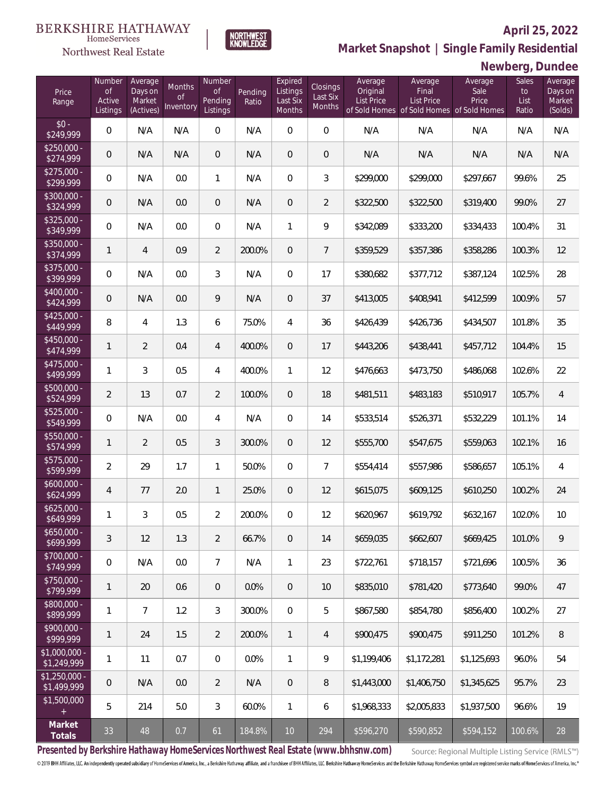#### **April 25, 2022**



HomeServices Northwest Real Estate

**Market Snapshot | Single Family Residential**

### **Newberg, Dundee**

| Price<br>Range                | Number<br>of<br>Active<br>Listings | Average<br>Days on<br>Market<br>(Actives) | Months<br>0f<br>Inventory | Number<br><b>of</b><br>Pending<br>Listings | Pending<br>Ratio | Expired<br>Listings<br>Last Six<br>Months | Closings<br>Last Six<br>Months | Average<br>Original<br><b>List Price</b> | Average<br>Final<br>List Price<br>of Sold Homes of Sold Homes of Sold Homes | Average<br>Sale<br>Price | Sales<br>to<br>List<br>Ratio | Average<br>Days on<br>Market<br>(Solds) |
|-------------------------------|------------------------------------|-------------------------------------------|---------------------------|--------------------------------------------|------------------|-------------------------------------------|--------------------------------|------------------------------------------|-----------------------------------------------------------------------------|--------------------------|------------------------------|-----------------------------------------|
| $$0 -$<br>\$249,999           | $\overline{0}$                     | N/A                                       | N/A                       | $\overline{0}$                             | N/A              | $\Omega$                                  | $\mathbf{0}$                   | N/A                                      | N/A                                                                         | N/A                      | N/A                          | N/A                                     |
| $$250,000 -$<br>\$274,999     | $\overline{0}$                     | N/A                                       | N/A                       | $\overline{0}$                             | N/A              | $\overline{0}$                            | $\overline{0}$                 | N/A                                      | N/A                                                                         | N/A                      | N/A                          | N/A                                     |
| $$275,000 -$<br>\$299,999     | $\overline{0}$                     | N/A                                       | 0.0                       | $\mathbf{1}$                               | N/A              | $\overline{0}$                            | 3                              | \$299,000                                | \$299,000                                                                   | \$297,667                | 99.6%                        | 25                                      |
| $$300,000 -$<br>\$324,999     | $\overline{0}$                     | N/A                                       | 0.0                       | $\overline{0}$                             | N/A              | $\overline{0}$                            | $\overline{2}$                 | \$322,500                                | \$322,500                                                                   | \$319,400                | 99.0%                        | 27                                      |
| $$325,000 -$<br>\$349,999     | $\overline{0}$                     | N/A                                       | 0.0                       | $\overline{0}$                             | N/A              | 1                                         | 9                              | \$342,089                                | \$333,200                                                                   | \$334,433                | 100.4%                       | 31                                      |
| $$350,000 -$<br>\$374,999     | 1                                  | $\overline{4}$                            | 0.9                       | $\overline{2}$                             | 200.0%           | $\overline{0}$                            | $\overline{7}$                 | \$359,529                                | \$357,386                                                                   | \$358,286                | 100.3%                       | 12                                      |
| $$375,000 -$<br>\$399,999     | $\overline{0}$                     | N/A                                       | 0.0                       | 3                                          | N/A              | $\mathbf{0}$                              | 17                             | \$380,682                                | \$377,712                                                                   | \$387,124                | 102.5%                       | 28                                      |
| $$400,000 -$<br>\$424,999     | $\overline{0}$                     | N/A                                       | 0.0                       | 9                                          | N/A              | $\overline{0}$                            | 37                             | \$413,005                                | \$408,941                                                                   | \$412,599                | 100.9%                       | 57                                      |
| $$425,000 -$<br>\$449,999     | 8                                  | $\overline{4}$                            | 1.3                       | 6                                          | 75.0%            | 4                                         | 36                             | \$426,439                                | \$426,736                                                                   | \$434,507                | 101.8%                       | 35                                      |
| $$450,000 -$<br>\$474,999     | $\mathbf{1}$                       | $\overline{2}$                            | 0.4                       | $\overline{4}$                             | 400.0%           | $\overline{0}$                            | 17                             | \$443,206                                | \$438,441                                                                   | \$457,712                | 104.4%                       | 15                                      |
| $$475,000 -$<br>\$499,999     | 1                                  | $\overline{3}$                            | 0.5                       | $\overline{4}$                             | 400.0%           | $\mathbf{1}$                              | 12                             | \$476,663                                | \$473,750                                                                   | \$486,068                | 102.6%                       | 22                                      |
| $$500,000 -$<br>\$524,999     | $\overline{2}$                     | 13                                        | 0.7                       | $\overline{2}$                             | 100.0%           | $\overline{0}$                            | 18                             | \$481,511                                | \$483,183                                                                   | \$510,917                | 105.7%                       | $\overline{4}$                          |
| $$525,000 -$<br>\$549,999     | $\overline{0}$                     | N/A                                       | 0.0                       | $\overline{4}$                             | N/A              | $\Omega$                                  | 14                             | \$533,514                                | \$526,371                                                                   | \$532,229                | 101.1%                       | 14                                      |
| $$550,000 -$<br>\$574,999     | $\mathbf{1}$                       | $\overline{2}$                            | 0.5                       | $\mathfrak{Z}$                             | 300.0%           | $\overline{0}$                            | 12                             | \$555,700                                | \$547,675                                                                   | \$559,063                | 102.1%                       | 16                                      |
| $$575,000 -$<br>\$599,999     | $\overline{2}$                     | 29                                        | 1.7                       | $\mathbf{1}$                               | 50.0%            | $\overline{0}$                            | $\overline{7}$                 | \$554,414                                | \$557,986                                                                   | \$586,657                | 105.1%                       | $\overline{4}$                          |
| $$600,000 -$<br>\$624,999     | 4                                  | 77                                        | 2.0                       | $\mathbf{1}$                               | 25.0%            | $\overline{0}$                            | 12                             | \$615,075                                | \$609,125                                                                   | \$610,250                | 100.2%                       | 24                                      |
| $$625,000 -$<br>\$649,999     | 1                                  | 3                                         | 0.5                       | $\overline{2}$                             | 200.0%           | $\overline{0}$                            | 12                             | \$620,967                                | \$619,792                                                                   | \$632,167                | 102.0%                       | 10                                      |
| $$650,000 -$<br>\$699,999     | 3                                  | 12                                        | 1.3                       | $\overline{2}$                             | 66.7%            | $\,0\,$                                   | 14                             | \$659,035                                | \$662,607                                                                   | \$669,425                | 101.0%                       | 9                                       |
| $$700,000 -$<br>\$749,999     | $\mathbf 0$                        | N/A                                       | 0.0                       | $\overline{7}$                             | N/A              | $\mathbf{1}$                              | 23                             | \$722,761                                | \$718,157                                                                   | \$721,696                | 100.5%                       | 36                                      |
| $$750,000 -$<br>\$799,999     | 1                                  | 20                                        | 0.6                       | $\mathbf 0$                                | 0.0%             | $\overline{0}$                            | 10                             | \$835,010                                | \$781,420                                                                   | \$773,640                | 99.0%                        | 47                                      |
| \$800,000 -<br>\$899,999      | 1                                  | $\overline{7}$                            | 1.2                       | $\mathfrak{Z}$                             | 300.0%           | $\mathbf 0$                               | 5                              | \$867,580                                | \$854,780                                                                   | \$856,400                | 100.2%                       | 27                                      |
| $$900,000 -$<br>\$999,999     | 1                                  | 24                                        | 1.5                       | $\overline{2}$                             | 200.0%           | $\mathbf{1}$                              | 4                              | \$900,475                                | \$900,475                                                                   | \$911,250                | 101.2%                       | 8                                       |
| \$1,000,000 -<br>\$1,249,999  | 1                                  | 11                                        | 0.7                       | 0                                          | 0.0%             | $\mathbf{1}$                              | 9                              | \$1,199,406                              | \$1,172,281                                                                 | \$1,125,693              | 96.0%                        | 54                                      |
| $$1,250,000$ -<br>\$1,499,999 | $\theta$                           | N/A                                       | 0.0                       | $\overline{2}$                             | N/A              | $\overline{0}$                            | 8                              | \$1,443,000                              | \$1,406,750                                                                 | \$1,345,625              | 95.7%                        | 23                                      |
| \$1,500,000<br>$\pm$          | 5                                  | 214                                       | 5.0                       | 3                                          | 60.0%            | $\mathbf{1}$                              | 6                              | \$1,968,333                              | \$2,005,833                                                                 | \$1,937,500              | 96.6%                        | 19                                      |
| Market<br>Totals              | 33                                 | 48                                        | 0.7                       | 61                                         | 184.8%           | $10$                                      | 294                            | \$596,270                                | \$590,852                                                                   | \$594,152                | 100.6%                       | 28                                      |

**Presented by Berkshire Hathaway HomeServices Northwest Real Estate (www.bhhsnw.com)**

Source: Regional Multiple Listing Service (RMLS™)

© 2019 BHH Affiliates, LLC. An independently operated subsidiary of HomeServices of America, Inc., a Berkshire Hathaway affiliate, and a franchisee of BHH Affiliates, LLC. Berkshire Hathaway HomeServices and the Berkshire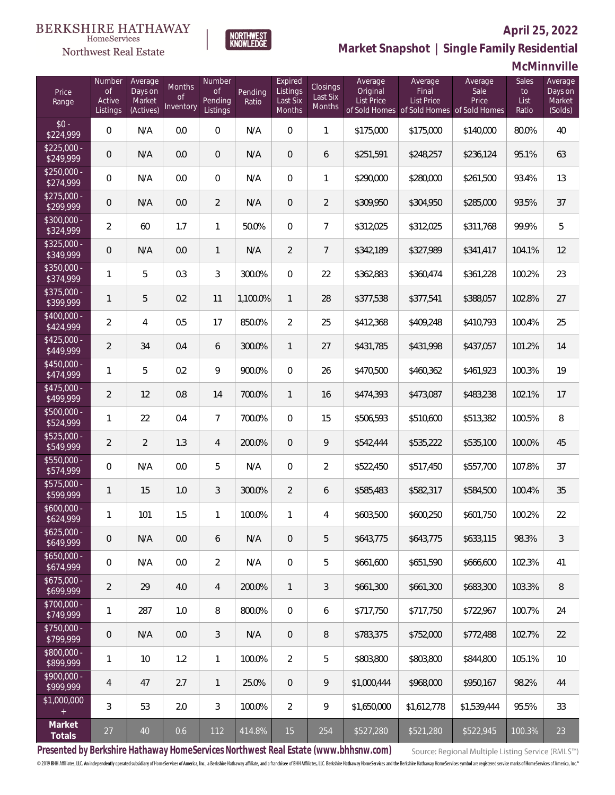#### **BERKSHIRE HATHAWAY** HomeServices



#### **April 25, 2022**

**Market Snapshot | Single Family Residential**

### **McMinnville**

| Price<br>Range            | Number<br>of<br>Active<br>Listings | Average<br>Days on<br>Market<br>(Actives) | Months<br>Οf<br>Inventory | Number<br><b>of</b><br>Pending<br>Listings | Pending<br>Ratio | Expired<br>Listings<br>Last Six<br>Months | Closings<br>Last Six<br>Months | Average<br>Original<br><b>List Price</b> | Average<br>Final<br>List Price<br>of Sold Homes of Sold Homes of Sold Homes | Average<br>Sale<br>Price | Sales<br>to<br>List<br>Ratio | Average<br>Days on<br>Market<br>(Solds) |
|---------------------------|------------------------------------|-------------------------------------------|---------------------------|--------------------------------------------|------------------|-------------------------------------------|--------------------------------|------------------------------------------|-----------------------------------------------------------------------------|--------------------------|------------------------------|-----------------------------------------|
| $$0 -$<br>\$224,999       | $\overline{0}$                     | N/A                                       | 0.0                       | $\overline{0}$                             | N/A              | $\overline{0}$                            | $\mathbf{1}$                   | \$175,000                                | \$175,000                                                                   | \$140,000                | 80.0%                        | 40                                      |
| $$225,000 -$<br>\$249,999 | 0                                  | N/A                                       | 0.0                       | $\overline{0}$                             | N/A              | $\overline{0}$                            | 6                              | \$251,591                                | \$248,257                                                                   | \$236,124                | 95.1%                        | 63                                      |
| $$250,000 -$<br>\$274,999 | $\overline{0}$                     | N/A                                       | 0.0                       | $\overline{0}$                             | N/A              | $\overline{0}$                            | $\mathbf{1}$                   | \$290,000                                | \$280,000                                                                   | \$261,500                | 93.4%                        | 13                                      |
| $$275,000 -$<br>\$299,999 | 0                                  | N/A                                       | 0.0                       | $\overline{2}$                             | N/A              | $\overline{0}$                            | $\overline{2}$                 | \$309,950                                | \$304,950                                                                   | \$285,000                | 93.5%                        | 37                                      |
| $$300,000 -$<br>\$324,999 | $\overline{2}$                     | 60                                        | 1.7                       | $\mathbf{1}$                               | 50.0%            | $\overline{0}$                            | $\overline{7}$                 | \$312,025                                | \$312,025                                                                   | \$311,768                | 99.9%                        | 5                                       |
| $$325,000 -$<br>\$349,999 | $\overline{0}$                     | N/A                                       | 0.0                       | $\mathbf{1}$                               | N/A              | $\overline{2}$                            | $\overline{7}$                 | \$342,189                                | \$327,989                                                                   | \$341,417                | 104.1%                       | 12                                      |
| $$350,000 -$<br>\$374,999 | $\mathbf{1}$                       | 5                                         | 0.3                       | 3                                          | 300.0%           | $\overline{0}$                            | 22                             | \$362,883                                | \$360,474                                                                   | \$361,228                | 100.2%                       | 23                                      |
| $$375,000 -$<br>\$399,999 | $\mathbf{1}$                       | 5                                         | 0.2                       | 11                                         | 1,100.0%         | $\mathbf{1}$                              | 28                             | \$377,538                                | \$377,541                                                                   | \$388,057                | 102.8%                       | 27                                      |
| $$400,000 -$<br>\$424,999 | $\overline{2}$                     | $\overline{4}$                            | 0.5                       | 17                                         | 850.0%           | $\overline{2}$                            | 25                             | \$412,368                                | \$409,248                                                                   | \$410,793                | 100.4%                       | 25                                      |
| $$425,000 -$<br>\$449,999 | $\overline{2}$                     | 34                                        | 0.4                       | 6                                          | 300.0%           | $\mathbf{1}$                              | 27                             | \$431,785                                | \$431,998                                                                   | \$437,057                | 101.2%                       | 14                                      |
| $$450,000 -$<br>\$474,999 | 1                                  | 5                                         | 0.2                       | 9                                          | 900.0%           | $\overline{0}$                            | 26                             | \$470,500                                | \$460,362                                                                   | \$461,923                | 100.3%                       | 19                                      |
| \$475,000 -<br>\$499,999  | $\overline{2}$                     | 12                                        | 0.8                       | 14                                         | 700.0%           | $\mathbf{1}$                              | 16                             | \$474,393                                | \$473,087                                                                   | \$483,238                | 102.1%                       | 17                                      |
| $$500,000 -$<br>\$524,999 | 1                                  | 22                                        | 0.4                       | $\overline{7}$                             | 700.0%           | $\overline{0}$                            | 15                             | \$506,593                                | \$510,600                                                                   | \$513,382                | 100.5%                       | 8                                       |
| $$525,000 -$<br>\$549,999 | $\overline{2}$                     | $\overline{2}$                            | 1.3                       | 4                                          | 200.0%           | $\overline{0}$                            | 9                              | \$542,444                                | \$535,222                                                                   | \$535,100                | 100.0%                       | 45                                      |
| $$550,000 -$<br>\$574,999 | $\overline{0}$                     | N/A                                       | 0.0                       | 5                                          | N/A              | $\overline{0}$                            | $\overline{2}$                 | \$522,450                                | \$517,450                                                                   | \$557,700                | 107.8%                       | 37                                      |
| \$575,000 -<br>\$599,999  | 1                                  | 15                                        | 1.0                       | 3                                          | 300.0%           | $\overline{2}$                            | 6                              | \$585,483                                | \$582,317                                                                   | \$584,500                | 100.4%                       | 35                                      |
| $$600,000 -$<br>\$624,999 | 1                                  | 101                                       | 1.5                       | $\mathbf{1}$                               | 100.0%           | 1                                         | 4                              | \$603,500                                | \$600,250                                                                   | \$601,750                | 100.2%                       | 22                                      |
| $$625,000 -$<br>\$649,999 | 0                                  | N/A                                       | 0.0                       | 6                                          | N/A              | $\theta$                                  | 5                              | \$643,775                                | \$643,775                                                                   | \$633,115                | 98.3%                        | $\sqrt{3}$                              |
| $$650,000 -$<br>\$674,999 | $\mathbf 0$                        | N/A                                       | 0.0                       | $\overline{2}$                             | N/A              | $\mathbf 0$                               | 5                              | \$661,600                                | \$651,590                                                                   | \$666,600                | 102.3%                       | 41                                      |
| $$675,000 -$<br>\$699,999 | $\overline{2}$                     | 29                                        | 4.0                       | 4                                          | 200.0%           | $\mathbf{1}$                              | $\mathfrak{Z}$                 | \$661,300                                | \$661,300                                                                   | \$683,300                | 103.3%                       | 8                                       |
| $$700,000 -$<br>\$749,999 | 1                                  | 287                                       | 1.0                       | 8                                          | 800.0%           | $\mathbf 0$                               | 6                              | \$717,750                                | \$717,750                                                                   | \$722,967                | 100.7%                       | 24                                      |
| $$750,000 -$<br>\$799,999 | $\mathsf{O}\xspace$                | N/A                                       | 0.0                       | 3                                          | N/A              | $\overline{0}$                            | 8                              | \$783,375                                | \$752,000                                                                   | \$772,488                | 102.7%                       | 22                                      |
| $$800,000 -$<br>\$899,999 | 1                                  | 10                                        | 1.2                       | $\mathbf{1}$                               | 100.0%           | $\overline{2}$                            | 5                              | \$803,800                                | \$803,800                                                                   | \$844,800                | 105.1%                       | 10                                      |
| $$900,000 -$<br>\$999,999 | $\overline{4}$                     | 47                                        | 2.7                       | $\mathbf{1}$                               | 25.0%            | $\mathbf 0$                               | 9                              | \$1,000,444                              | \$968,000                                                                   | \$950,167                | 98.2%                        | 44                                      |
| \$1,000,000<br>$+$        | 3                                  | 53                                        | 2.0                       | $\mathfrak{Z}$                             | 100.0%           | $\overline{2}$                            | 9                              | \$1,650,000                              | \$1,612,778                                                                 | \$1,539,444              | 95.5%                        | 33                                      |
| Market<br>Totals          | $27\,$                             | 40                                        | 0.6                       | 112                                        | 414.8%           | 15                                        | 254                            | \$527,280                                | \$521,280                                                                   | \$522,945                | 100.3%                       | 23                                      |

**NORTHWEST**<br>KNOWLEDGE

**Presented by Berkshire Hathaway HomeServices Northwest Real Estate (www.bhhsnw.com)**

Source: Regional Multiple Listing Service (RMLS™)

© 2019 BHH Affiliates, LLC. An independently operated subsidiary of HomeServices of America, Inc., a Berkshire Hathaway affiliate, and a franchisee of BHH Affiliates, LLC. Berkshire Hathaway HomeServices and the Berkshire